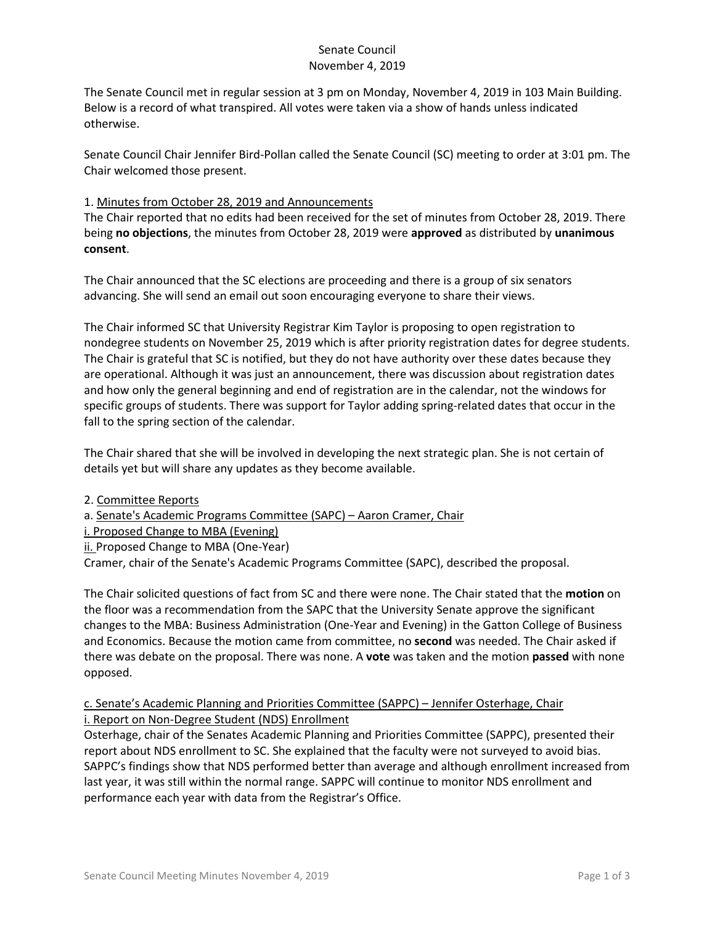# Senate Council November 4, 2019

The Senate Council met in regular session at 3 pm on Monday, November 4, 2019 in 103 Main Building. Below is a record of what transpired. All votes were taken via a show of hands unless indicated otherwise.

Senate Council Chair Jennifer Bird-Pollan called the Senate Council (SC) meeting to order at 3:01 pm. The Chair welcomed those present.

### 1. Minutes from October 28, 2019 and Announcements

The Chair reported that no edits had been received for the set of minutes from October 28, 2019. There being **no objections**, the minutes from October 28, 2019 were **approved** as distributed by **unanimous consent**.

The Chair announced that the SC elections are proceeding and there is a group of six senators advancing. She will send an email out soon encouraging everyone to share their views.

The Chair informed SC that University Registrar Kim Taylor is proposing to open registration to nondegree students on November 25, 2019 which is after priority registration dates for degree students. The Chair is grateful that SC is notified, but they do not have authority over these dates because they are operational. Although it was just an announcement, there was discussion about registration dates and how only the general beginning and end of registration are in the calendar, not the windows for specific groups of students. There was support for Taylor adding spring-related dates that occur in the fall to the spring section of the calendar.

The Chair shared that she will be involved in developing the next strategic plan. She is not certain of details yet but will share any updates as they become available.

### 2. Committee Reports

a. Senate's Academic Programs Committee (SAPC) – Aaron Cramer, Chair

i. Proposed Change to MBA (Evening)

ii. Proposed Change to MBA (One-Year)

Cramer, chair of the Senate's Academic Programs Committee (SAPC), described the proposal.

The Chair solicited questions of fact from SC and there were none. The Chair stated that the **motion** on the floor was a recommendation from the SAPC that the University Senate approve the significant changes to the MBA: Business Administration (One-Year and Evening) in the Gatton College of Business and Economics. Because the motion came from committee, no **second** was needed. The Chair asked if there was debate on the proposal. There was none. A **vote** was taken and the motion **passed** with none opposed.

# c. Senate's Academic Planning and Priorities Committee (SAPPC) – Jennifer Osterhage, Chair i. Report on Non-Degree Student (NDS) Enrollment

Osterhage, chair of the Senates Academic Planning and Priorities Committee (SAPPC), presented their report about NDS enrollment to SC. She explained that the faculty were not surveyed to avoid bias. SAPPC's findings show that NDS performed better than average and although enrollment increased from last year, it was still within the normal range. SAPPC will continue to monitor NDS enrollment and performance each year with data from the Registrar's Office.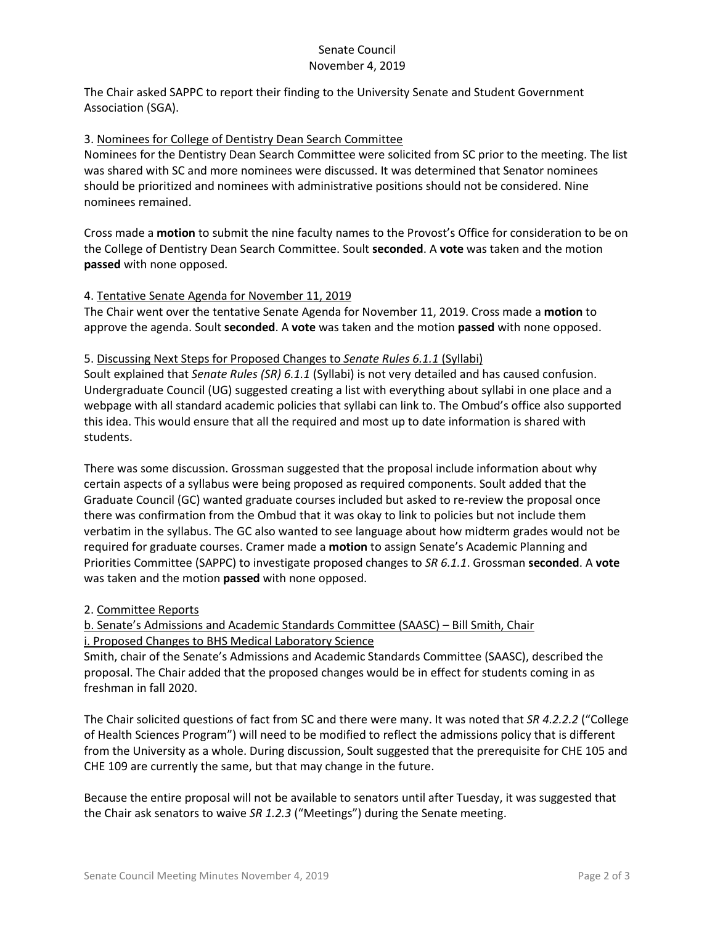### Senate Council November 4, 2019

The Chair asked SAPPC to report their finding to the University Senate and Student Government Association (SGA).

### 3. Nominees for College of Dentistry Dean Search Committee

Nominees for the Dentistry Dean Search Committee were solicited from SC prior to the meeting. The list was shared with SC and more nominees were discussed. It was determined that Senator nominees should be prioritized and nominees with administrative positions should not be considered. Nine nominees remained.

Cross made a **motion** to submit the nine faculty names to the Provost's Office for consideration to be on the College of Dentistry Dean Search Committee. Soult **seconded**. A **vote** was taken and the motion **passed** with none opposed.

### 4. Tentative Senate Agenda for November 11, 2019

The Chair went over the tentative Senate Agenda for November 11, 2019. Cross made a **motion** to approve the agenda. Soult **seconded**. A **vote** was taken and the motion **passed** with none opposed.

#### 5. Discussing Next Steps for Proposed Changes to *Senate Rules 6.1.1* (Syllabi)

Soult explained that *Senate Rules (SR) 6.1.1* (Syllabi) is not very detailed and has caused confusion. Undergraduate Council (UG) suggested creating a list with everything about syllabi in one place and a webpage with all standard academic policies that syllabi can link to. The Ombud's office also supported this idea. This would ensure that all the required and most up to date information is shared with students.

There was some discussion. Grossman suggested that the proposal include information about why certain aspects of a syllabus were being proposed as required components. Soult added that the Graduate Council (GC) wanted graduate courses included but asked to re-review the proposal once there was confirmation from the Ombud that it was okay to link to policies but not include them verbatim in the syllabus. The GC also wanted to see language about how midterm grades would not be required for graduate courses. Cramer made a **motion** to assign Senate's Academic Planning and Priorities Committee (SAPPC) to investigate proposed changes to *SR 6.1.1*. Grossman **seconded**. A **vote** was taken and the motion **passed** with none opposed.

### 2. Committee Reports

b. Senate's Admissions and Academic Standards Committee (SAASC) – Bill Smith, Chair i. Proposed Changes to BHS Medical Laboratory Science

Smith, chair of the Senate's Admissions and Academic Standards Committee (SAASC), described the proposal. The Chair added that the proposed changes would be in effect for students coming in as freshman in fall 2020.

The Chair solicited questions of fact from SC and there were many. It was noted that *SR 4.2.2.2* ("College of Health Sciences Program") will need to be modified to reflect the admissions policy that is different from the University as a whole. During discussion, Soult suggested that the prerequisite for CHE 105 and CHE 109 are currently the same, but that may change in the future.

Because the entire proposal will not be available to senators until after Tuesday, it was suggested that the Chair ask senators to waive *SR 1.2.3* ("Meetings") during the Senate meeting.